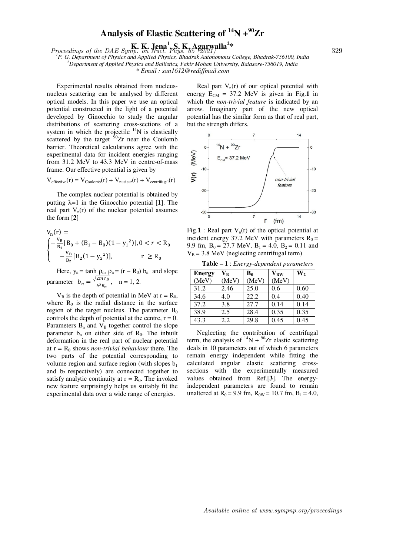## **Analysis of Elastic Scattering of <sup>14</sup>N +<sup>90</sup>Zr**

 $Proceedings of the DAE Symp.$  **K. Lena<sup>1</sup>, S. K. Agarwalla<sup>2\*</sup>** 329

*<sup>1</sup>P. G. Department of Physics and Applied Physics, Bhadrak Autonomous College, Bhadrak-756100, India <sup>2</sup>Department of Applied Physics and Ballistics, Fakir Mohan University, Balasore-756019, India \* Email : san1612@rediffmail.com*

 Experimental results obtained from nucleusnucleus scattering can be analysed by different optical models. In this paper we use an optical potential constructed in the light of a potential developed by Ginocchio to study the angular distributions of scattering cross-sections of a system in which the projectile  $14N$  is elastically scattered by the target  $\frac{60}{2}$ r near the Coulomb barrier. Theoretical calculations agree with the experimental data for incident energies ranging from 31.2 MeV to 43.3 MeV in centre-of-mass frame. Our effective potential is given by

 $V_{effective}(r) = V_{Coulomb}(r) + V_{nuclear}(r) + V_{centrifugal}(r)$ 

 The complex nuclear potential is obtained by putting λ=1 in the Ginocchio potential [**1**]. The real part  $V_n(r)$  of the nuclear potential assumes the form [**2**]

$$
V_n(r) =
$$
  
\n
$$
\begin{cases}\n-\frac{V_B}{B_1}[B_0 + (B_1 - B_0)(1 - y_1^2)], 0 < r < R_0 \\
-\frac{V_B}{B_2}[B_2(1 - y_2^2)], & r \ge R_0\n\end{cases}
$$

Here,  $y_n = \tanh \rho_n$ ,  $\rho_n = (r - R_0) b_n$  and slope parameter  $b_n = \frac{\sqrt{2mV_B}}{\hbar^2 B_n}$  $\frac{n!}{\hbar^2 B_n}$ , n = 1, 2.

 $V_B$  is the depth of potential in MeV at  $r = R_0$ , where  $R_0$  is the radial distance in the surface region of the target nucleus. The parameter  $B_0$ controls the depth of potential at the centre,  $r = 0$ . Parameters  $B_n$  and  $V_B$  together control the slope parameter  $b_n$  on either side of  $R_0$ . The inbuilt deformation in the real part of nuclear potential at  $r = R_0$  shows *non-trivial behaviour* there. The two parts of the potential corresponding to volume region and surface region (with slopes  $b_1$ and  $b_2$  respectively) are connected together to satisfy analytic continuity at  $r = R_0$ . The invoked new feature surprisingly helps us suitably fit the experimental data over a wide range of energies.

Real part  $V_n(r)$  of our optical potential with energy  $E_{CM} = 37.2$  MeV is given in Fig.1 in which the *non-trivial feature* is indicated by an arrow. Imaginary part of the new optical potential has the similar form as that of real part, but the strength differs.



Fig.1 : Real part  $V_n(r)$  of the optical potential at incident energy 37.2 MeV with parameters  $R_0 =$ 9.9 fm,  $B_0 = 27.7$  MeV,  $B_1 = 4.0$ ,  $B_2 = 0.11$  and  $V_B$  = 3.8 MeV (neglecting centrifugal term)

**Table – 1** : *Energy-dependent parameters*

| <b>Energy</b> | $\mathbf{V}_\mathbf{B}$ | $B_0$ | $\mathbf{V_{BW}}$ | $W_2$ |
|---------------|-------------------------|-------|-------------------|-------|
| (MeV)         | (MeV)                   | (MeV) | (MeV)             |       |
| 31.2          | 2.46                    | 25.0  | 0.6               | 0.60  |
| 34.6          | 4.0                     | 22.2  | 0.4               | 0.40  |
| 37.2          | 3.8                     | 27.7  | 0.14              | 0.14  |
| 38.9          | 2.5                     | 28.4  | 0.35              | 0.35  |
| 43.3          | 2.2                     | 29.8  | 0.45              | 0.45  |

 Neglecting the contribution of centrifugal term, the analysis of  ${}^{14}N + {}^{90}Zr$  elastic scattering deals in 10 parameters out of which 6 parameters remain energy independent while fitting the calculated angular elastic scattering crosssections with the experimentally measured values obtained from Ref.[**3**]. The energyindependent parameters are found to remain unaltered at  $R_0 = 9.9$  fm,  $R_{0W} = 10.7$  fm,  $B_1 = 4.0$ ,